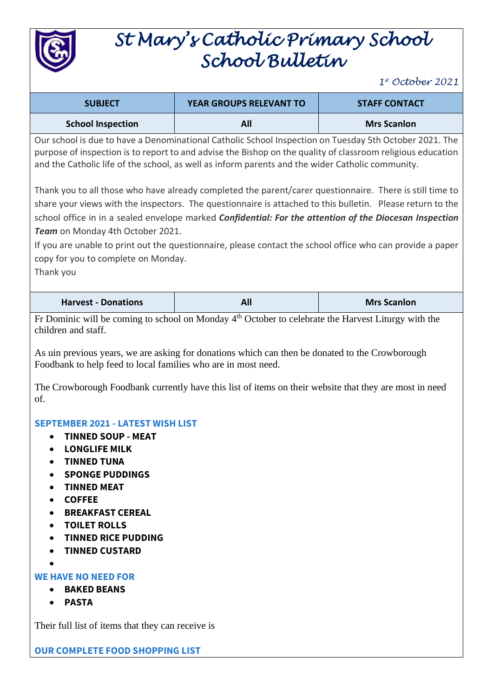

# *St Mary's Catholic Primary School School Bulletin*

*1 st October 2021*

| <b>SUBJECT</b>                                                                                                                                                                                                                                                                                                            | YEAR GROUPS RELEVANT TO                                                                                                                                                                                                                                                                                            | <b>STAFF CONTACT</b> |
|---------------------------------------------------------------------------------------------------------------------------------------------------------------------------------------------------------------------------------------------------------------------------------------------------------------------------|--------------------------------------------------------------------------------------------------------------------------------------------------------------------------------------------------------------------------------------------------------------------------------------------------------------------|----------------------|
| <b>School Inspection</b>                                                                                                                                                                                                                                                                                                  | All                                                                                                                                                                                                                                                                                                                | <b>Mrs Scanlon</b>   |
| Our school is due to have a Denominational Catholic School Inspection on Tuesday 5th October 2021. The<br>purpose of inspection is to report to and advise the Bishop on the quality of classroom religious education<br>and the Catholic life of the school, as well as inform parents and the wider Catholic community. |                                                                                                                                                                                                                                                                                                                    |                      |
|                                                                                                                                                                                                                                                                                                                           | Thank you to all those who have already completed the parent/carer questionnaire. There is still time to                                                                                                                                                                                                           |                      |
|                                                                                                                                                                                                                                                                                                                           | share your views with the inspectors. The questionnaire is attached to this bulletin. Please return to the                                                                                                                                                                                                         |                      |
|                                                                                                                                                                                                                                                                                                                           | school office in in a sealed envelope marked Confidential: For the attention of the Diocesan Inspection                                                                                                                                                                                                            |                      |
| Team on Monday 4th October 2021.                                                                                                                                                                                                                                                                                          |                                                                                                                                                                                                                                                                                                                    |                      |
|                                                                                                                                                                                                                                                                                                                           | If you are unable to print out the questionnaire, please contact the school office who can provide a paper                                                                                                                                                                                                         |                      |
| copy for you to complete on Monday.                                                                                                                                                                                                                                                                                       |                                                                                                                                                                                                                                                                                                                    |                      |
| Thank you                                                                                                                                                                                                                                                                                                                 |                                                                                                                                                                                                                                                                                                                    |                      |
| <b>Harvest - Donations</b>                                                                                                                                                                                                                                                                                                | <b>All</b>                                                                                                                                                                                                                                                                                                         | <b>Mrs Scanlon</b>   |
| children and staff.<br>Foodbank to help feed to local families who are in most need.<br>of.                                                                                                                                                                                                                               | Fr Dominic will be coming to school on Monday $4th$ October to celebrate the Harvest Liturgy with the<br>As uin previous years, we are asking for donations which can then be donated to the Crowborough<br>The Crowborough Foodbank currently have this list of items on their website that they are most in need |                      |
| <b>SEPTEMBER 2021 - LATEST WISH LIST</b><br><b>TINNED SOUP - MEAT</b><br><b>LONGLIFE MILK</b><br>٠<br><b>TINNED TUNA</b><br><b>SPONGE PUDDINGS</b><br><b>TINNED MEAT</b><br><b>COFFEE</b><br><b>BREAKFAST CEREAL</b><br><b>TOILET ROLLS</b><br><b>TINNED RICE PUDDING</b><br><b>TINNED CUSTARD</b>                        |                                                                                                                                                                                                                                                                                                                    |                      |

#### **WE HAVE NO NEED FOR**

- **BAKED BEANS**
- **PASTA**

Their full list of items that they can receive is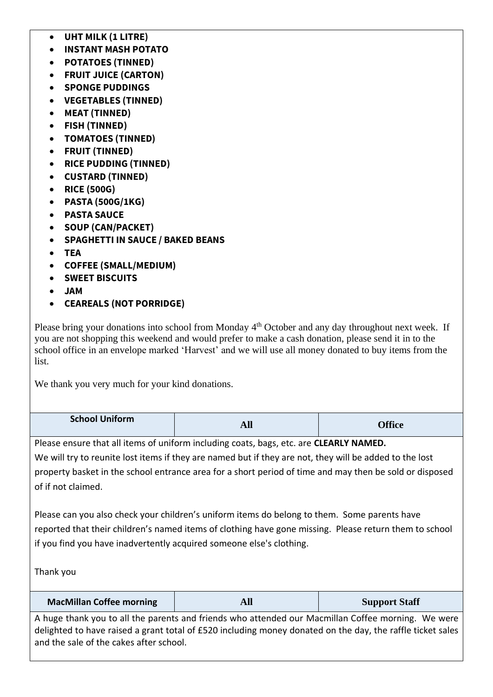- **UHT MILK (1 LITRE)**
- **INSTANT MASH POTATO**
- **POTATOES (TINNED)**
- **FRUIT JUICE (CARTON)**
- **SPONGE PUDDINGS**
- **VEGETABLES (TINNED)**
- **MEAT (TINNED)**
- **FISH (TINNED)**
- **TOMATOES (TINNED)**
- **FRUIT (TINNED)**
- **RICE PUDDING (TINNED)**
- **CUSTARD (TINNED)**
- **RICE (500G)**
- **PASTA (500G/1KG)**
- **PASTA SAUCE**
- **SOUP (CAN/PACKET)**
- **SPAGHETTI IN SAUCE / BAKED BEANS**
- **TEA**
- **COFFEE (SMALL/MEDIUM)**
- **SWEET BISCUITS**
- **JAM**
- **CEAREALS (NOT PORRIDGE)**

Please bring your donations into school from Monday 4<sup>th</sup> October and any day throughout next week. If you are not shopping this weekend and would prefer to make a cash donation, please send it in to the school office in an envelope marked 'Harvest' and we will use all money donated to buy items from the list.

We thank you very much for your kind donations.

| <b>School Uniform</b>                                                                                                                                                                                                                                                                       | <b>All</b>                                                                                                                                                                                                       | <b>Office</b>        |
|---------------------------------------------------------------------------------------------------------------------------------------------------------------------------------------------------------------------------------------------------------------------------------------------|------------------------------------------------------------------------------------------------------------------------------------------------------------------------------------------------------------------|----------------------|
|                                                                                                                                                                                                                                                                                             | Please ensure that all items of uniform including coats, bags, etc. are CLEARLY NAMED.                                                                                                                           |                      |
|                                                                                                                                                                                                                                                                                             | We will try to reunite lost items if they are named but if they are not, they will be added to the lost                                                                                                          |                      |
| property basket in the school entrance area for a short period of time and may then be sold or disposed                                                                                                                                                                                     |                                                                                                                                                                                                                  |                      |
| of if not claimed.                                                                                                                                                                                                                                                                          |                                                                                                                                                                                                                  |                      |
| Please can you also check your children's uniform items do belong to them. Some parents have<br>reported that their children's named items of clothing have gone missing. Please return them to school<br>if you find you have inadvertently acquired someone else's clothing.<br>Thank you |                                                                                                                                                                                                                  |                      |
| <b>MacMillan Coffee morning</b>                                                                                                                                                                                                                                                             | <b>All</b>                                                                                                                                                                                                       | <b>Support Staff</b> |
| and the sale of the cakes after school.                                                                                                                                                                                                                                                     | A huge thank you to all the parents and friends who attended our Macmillan Coffee morning. We were<br>delighted to have raised a grant total of £520 including money donated on the day, the raffle ticket sales |                      |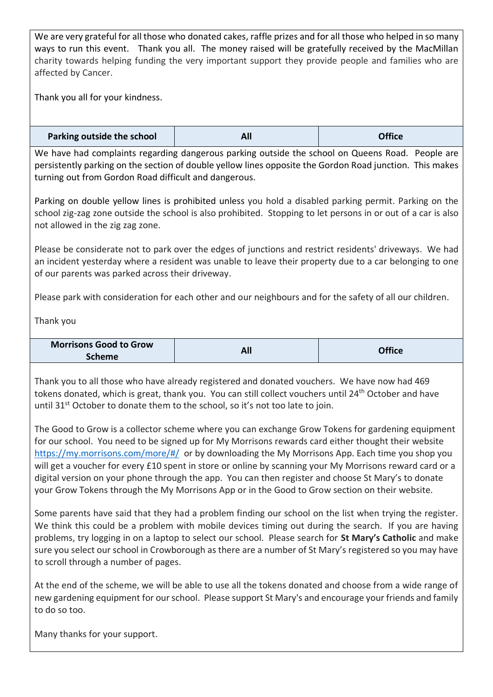We are very grateful for all those who donated cakes, raffle prizes and for all those who helped in so many ways to run this event. Thank you all. The money raised will be gratefully received by the MacMillan charity towards helping funding the very important support they provide people and families who are affected by Cancer.

Thank you all for your kindness.

| Parking outside the school | All | <b>Office</b> |
|----------------------------|-----|---------------|
|----------------------------|-----|---------------|

We have had complaints regarding dangerous parking outside the school on Queens Road. People are persistently parking on the section of double yellow lines opposite the Gordon Road junction. This makes turning out from Gordon Road difficult and dangerous.

Parking on double yellow lines is prohibited unless you hold a disabled parking permit. Parking on the school zig-zag zone outside the school is also prohibited. Stopping to let persons in or out of a car is also not allowed in the zig zag zone.

Please be considerate not to park over the edges of junctions and restrict residents' driveways. We had an incident yesterday where a resident was unable to leave their property due to a car belonging to one of our parents was parked across their driveway.

Please park with consideration for each other and our neighbours and for the safety of all our children.

Thank you

| <b>Morrisons Good to Grow</b> |     | <b>Office</b> |
|-------------------------------|-----|---------------|
| <b>Scheme</b>                 | All |               |

Thank you to all those who have already registered and donated vouchers. We have now had 469 tokens donated, which is great, thank you. You can still collect vouchers until 24th October and have until 31st October to donate them to the school, so it's not too late to join.

The Good to Grow is a collector scheme where you can exchange Grow Tokens for gardening equipment for our school. You need to be signed up for My Morrisons rewards card either thought their website <https://my.morrisons.com/more/#/>or by downloading the My Morrisons App. Each time you shop you will get a voucher for every £10 spent in store or online by scanning your My Morrisons reward card or a digital version on your phone through the app. You can then register and choose St Mary's to donate your Grow Tokens through the My Morrisons App or in the Good to Grow section on their website.

Some parents have said that they had a problem finding our school on the list when trying the register. We think this could be a problem with mobile devices timing out during the search. If you are having problems, try logging in on a laptop to select our school. Please search for **St Mary's Catholic** and make sure you select our school in Crowborough as there are a number of St Mary's registered so you may have to scroll through a number of pages.

At the end of the scheme, we will be able to use all the tokens donated and choose from a wide range of new gardening equipment for our school. Please support St Mary's and encourage your friends and family to do so too.

Many thanks for your support.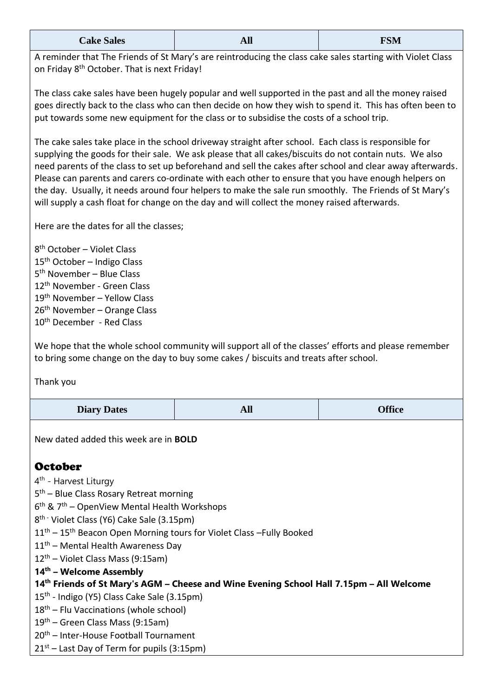| <b>Cake Sales</b> | <b>All</b> | <b>FSM</b> |
|-------------------|------------|------------|
|-------------------|------------|------------|

A reminder that The Friends of St Mary's are reintroducing the class cake sales starting with Violet Class on Friday 8<sup>th</sup> October. That is next Friday!

The class cake sales have been hugely popular and well supported in the past and all the money raised goes directly back to the class who can then decide on how they wish to spend it. This has often been to put towards some new equipment for the class or to subsidise the costs of a school trip.

The cake sales take place in the school driveway straight after school. Each class is responsible for supplying the goods for their sale. We ask please that all cakes/biscuits do not contain nuts. We also need parents of the class to set up beforehand and sell the cakes after school and clear away afterwards. Please can parents and carers co-ordinate with each other to ensure that you have enough helpers on the day. Usually, it needs around four helpers to make the sale run smoothly. The Friends of St Mary's will supply a cash float for change on the day and will collect the money raised afterwards.

Here are the dates for all the classes;

 th October – Violet Class 15<sup>th</sup> October – Indigo Class th November – Blue Class th November - Green Class th November – Yellow Class th November – Orange Class 10<sup>th</sup> December - Red Class

We hope that the whole school community will support all of the classes' efforts and please remember to bring some change on the day to buy some cakes / biscuits and treats after school.

Thank you

| <b>Diary Dates</b> | <b>TITT</b> | <b>Office</b> |
|--------------------|-------------|---------------|
|--------------------|-------------|---------------|

New dated added this week are in **BOLD**

## **October**

- 4<sup>th</sup> Harvest Liturgy
- 5<sup>th</sup> Blue Class Rosary Retreat morning
- 6<sup>th</sup> & 7<sup>th</sup> OpenView Mental Health Workshops
- 8<sup>th -</sup> Violet Class (Y6) Cake Sale (3.15pm)
- $11<sup>th</sup> 15<sup>th</sup>$  Beacon Open Morning tours for Violet Class –Fully Booked
- 11<sup>th</sup> Mental Health Awareness Day
- 12th Violet Class Mass (9:15am)
- **14th – Welcome Assembly**
- **14th Friends of St Mary's AGM – Cheese and Wine Evening School Hall 7.15pm – All Welcome**
- 15<sup>th</sup> Indigo (Y5) Class Cake Sale (3.15pm)
- $18<sup>th</sup>$  Flu Vaccinations (whole school)
- 19th Green Class Mass (9:15am)
- 20th Inter-House Football Tournament
- $21<sup>st</sup>$  Last Day of Term for pupils (3:15pm)